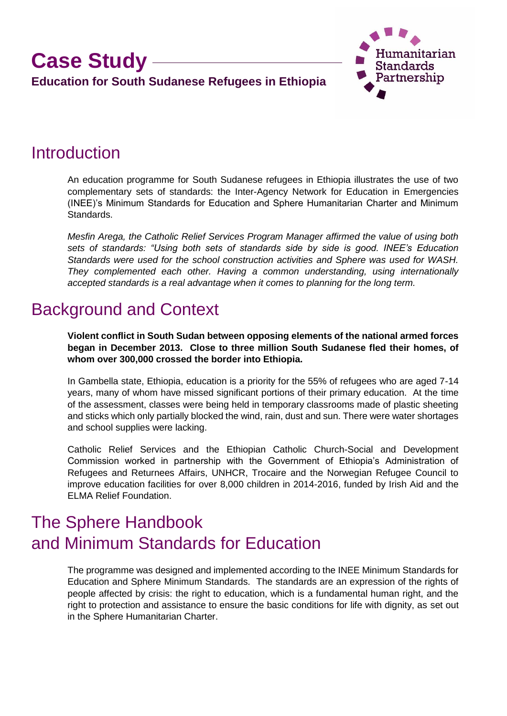### **Case Study Education for South Sudanese Refugees in Ethiopia**



### **Introduction**

An education programme for South Sudanese refugees in Ethiopia illustrates the use of two complementary sets of standards: the Inter-Agency Network for Education in Emergencies (INEE)'s Minimum Standards for Education and Sphere Humanitarian Charter and Minimum Standards.

*Mesfin Arega, the Catholic Relief Services Program Manager affirmed the value of using both sets of standards: "Using both sets of standards side by side is good. INEE's Education Standards were used for the school construction activities and Sphere was used for WASH. They complemented each other. Having a common understanding, using internationally accepted standards is a real advantage when it comes to planning for the long term.* 

### Background and Context

**Violent conflict in South Sudan between opposing elements of the national armed forces began in December 2013. Close to three million South Sudanese fled their homes, of whom over 300,000 crossed the border into Ethiopia.**

In Gambella state, Ethiopia, education is a priority for the 55% of refugees who are aged 7-14 years, many of whom have missed significant portions of their primary education. At the time of the assessment, classes were being held in temporary classrooms made of plastic sheeting and sticks which only partially blocked the wind, rain, dust and sun. There were water shortages and school supplies were lacking.

Catholic Relief Services and the Ethiopian Catholic Church-Social and Development Commission worked in partnership with the Government of Ethiopia's Administration of Refugees and Returnees Affairs, UNHCR, Trocaire and the Norwegian Refugee Council to improve education facilities for over 8,000 children in 2014-2016, funded by Irish Aid and the ELMA Relief Foundation.

## The Sphere Handbook and Minimum Standards for Education

The programme was designed and implemented according to the INEE Minimum Standards for Education and Sphere Minimum Standards. The standards are an expression of the rights of people affected by crisis: the right to education, which is a fundamental human right, and the right to protection and assistance to ensure the basic conditions for life with dignity, as set out in the Sphere Humanitarian Charter.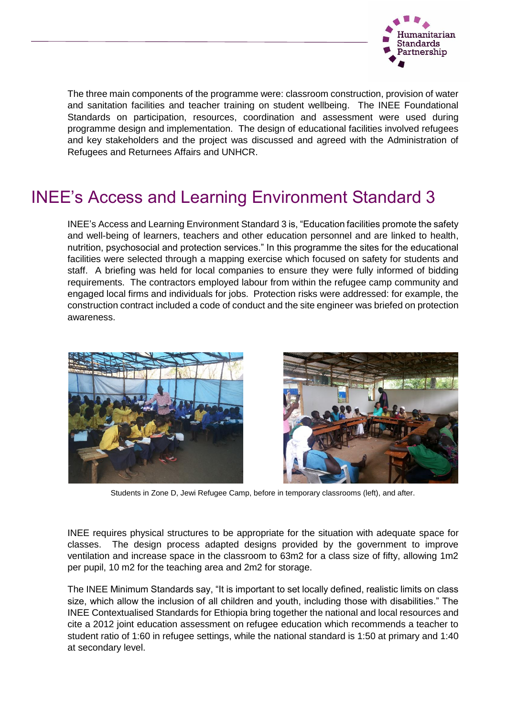

The three main components of the programme were: classroom construction, provision of water and sanitation facilities and teacher training on student wellbeing. The INEE Foundational Standards on participation, resources, coordination and assessment were used during programme design and implementation. The design of educational facilities involved refugees and key stakeholders and the project was discussed and agreed with the Administration of Refugees and Returnees Affairs and UNHCR.

### INEE's Access and Learning Environment Standard 3

INEE's Access and Learning Environment Standard 3 is, "Education facilities promote the safety and well-being of learners, teachers and other education personnel and are linked to health, nutrition, psychosocial and protection services." In this programme the sites for the educational facilities were selected through a mapping exercise which focused on safety for students and staff. A briefing was held for local companies to ensure they were fully informed of bidding requirements. The contractors employed labour from within the refugee camp community and engaged local firms and individuals for jobs. Protection risks were addressed: for example, the construction contract included a code of conduct and the site engineer was briefed on protection awareness.



Students in Zone D, Jewi Refugee Camp, before in temporary classrooms (left), and after.

INEE requires physical structures to be appropriate for the situation with adequate space for classes. The design process adapted designs provided by the government to improve ventilation and increase space in the classroom to 63m2 for a class size of fifty, allowing 1m2 per pupil, 10 m2 for the teaching area and 2m2 for storage.

The INEE Minimum Standards say, "It is important to set locally defined, realistic limits on class size, which allow the inclusion of all children and youth, including those with disabilities." The INEE Contextualised Standards for Ethiopia bring together the national and local resources and cite a 2012 joint education assessment on refugee education which recommends a teacher to student ratio of 1:60 in refugee settings, while the national standard is 1:50 at primary and 1:40 at secondary level.